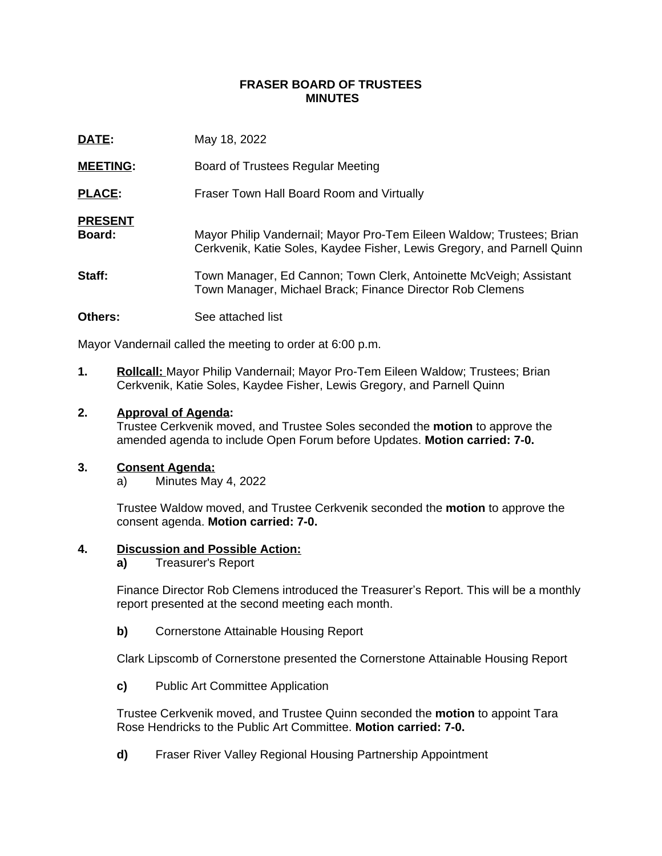## **FRASER BOARD OF TRUSTEES MINUTES**

| DATE:                    | May 18, 2022                                                                                                                                     |
|--------------------------|--------------------------------------------------------------------------------------------------------------------------------------------------|
| <b>MEETING:</b>          | Board of Trustees Regular Meeting                                                                                                                |
| <b>PLACE:</b>            | Fraser Town Hall Board Room and Virtually                                                                                                        |
| <b>PRESENT</b><br>Board: | Mayor Philip Vandernail; Mayor Pro-Tem Eileen Waldow; Trustees; Brian<br>Cerkvenik, Katie Soles, Kaydee Fisher, Lewis Gregory, and Parnell Quinn |
| Staff:                   | Town Manager, Ed Cannon; Town Clerk, Antoinette McVeigh; Assistant<br>Town Manager, Michael Brack; Finance Director Rob Clemens                  |
| <b>Others:</b>           | See attached list                                                                                                                                |

Mayor Vandernail called the meeting to order at 6:00 p.m.

**1. Rollcall:** Mayor Philip Vandernail; Mayor Pro-Tem Eileen Waldow; Trustees; Brian Cerkvenik, Katie Soles, Kaydee Fisher, Lewis Gregory, and Parnell Quinn

### **2. Approval of Agenda:**

Trustee Cerkvenik moved, and Trustee Soles seconded the **motion** to approve the amended agenda to include Open Forum before Updates. **Motion carried: 7-0.**

#### **3. Consent Agenda:**

a) Minutes May 4, 2022

Trustee Waldow moved, and Trustee Cerkvenik seconded the **motion** to approve the consent agenda. **Motion carried: 7-0.**

#### **4. Discussion and Possible Action:**

**a)** Treasurer's Report

Finance Director Rob Clemens introduced the Treasurer's Report. This will be a monthly report presented at the second meeting each month.

**b)** Cornerstone Attainable Housing Report

Clark Lipscomb of Cornerstone presented the Cornerstone Attainable Housing Report

**c)** Public Art Committee Application

Trustee Cerkvenik moved, and Trustee Quinn seconded the **motion** to appoint Tara Rose Hendricks to the Public Art Committee. **Motion carried: 7-0.**

**d)** Fraser River Valley Regional Housing Partnership Appointment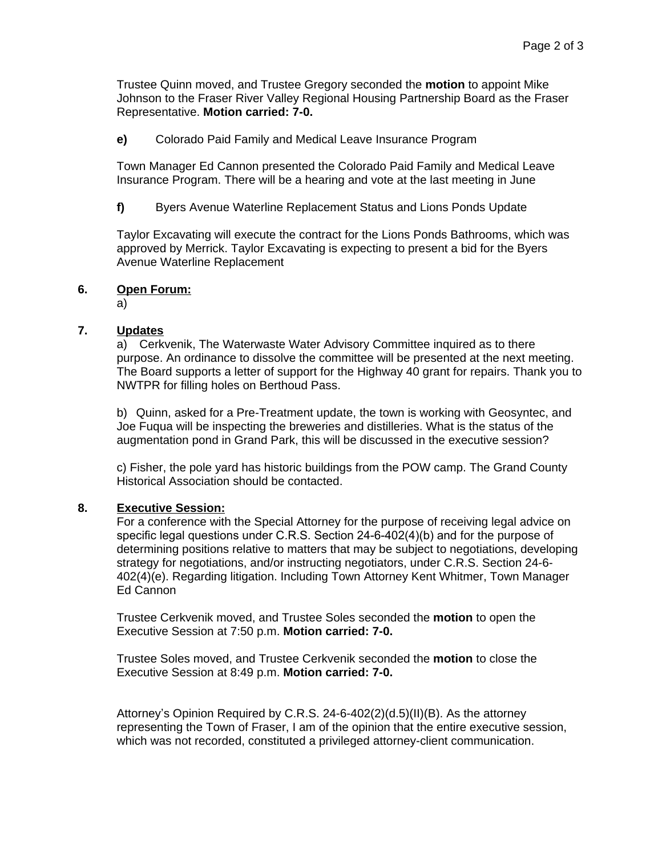Trustee Quinn moved, and Trustee Gregory seconded the **motion** to appoint Mike Johnson to the Fraser River Valley Regional Housing Partnership Board as the Fraser Representative. **Motion carried: 7-0.**

**e)** Colorado Paid Family and Medical Leave Insurance Program

Town Manager Ed Cannon presented the Colorado Paid Family and Medical Leave Insurance Program. There will be a hearing and vote at the last meeting in June

**f)** Byers Avenue Waterline Replacement Status and Lions Ponds Update

Taylor Excavating will execute the contract for the Lions Ponds Bathrooms, which was approved by Merrick. Taylor Excavating is expecting to present a bid for the Byers Avenue Waterline Replacement

# **6. Open Forum:**

a)

# **7. Updates**

a) Cerkvenik, The Waterwaste Water Advisory Committee inquired as to there purpose. An ordinance to dissolve the committee will be presented at the next meeting. The Board supports a letter of support for the Highway 40 grant for repairs. Thank you to NWTPR for filling holes on Berthoud Pass.

b) Quinn, asked for a Pre-Treatment update, the town is working with Geosyntec, and Joe Fuqua will be inspecting the breweries and distilleries. What is the status of the augmentation pond in Grand Park, this will be discussed in the executive session?

c) Fisher, the pole yard has historic buildings from the POW camp. The Grand County Historical Association should be contacted.

## **8. Executive Session:**

For a conference with the Special Attorney for the purpose of receiving legal advice on specific legal questions under C.R.S. Section 24-6-402(4)(b) and for the purpose of determining positions relative to matters that may be subject to negotiations, developing strategy for negotiations, and/or instructing negotiators, under C.R.S. Section 24-6- 402(4)(e). Regarding litigation. Including Town Attorney Kent Whitmer, Town Manager Ed Cannon

Trustee Cerkvenik moved, and Trustee Soles seconded the **motion** to open the Executive Session at 7:50 p.m. **Motion carried: 7-0.**

Trustee Soles moved, and Trustee Cerkvenik seconded the **motion** to close the Executive Session at 8:49 p.m. **Motion carried: 7-0.**

Attorney's Opinion Required by C.R.S. 24-6-402(2)(d.5)(II)(B). As the attorney representing the Town of Fraser, I am of the opinion that the entire executive session, which was not recorded, constituted a privileged attorney-client communication.